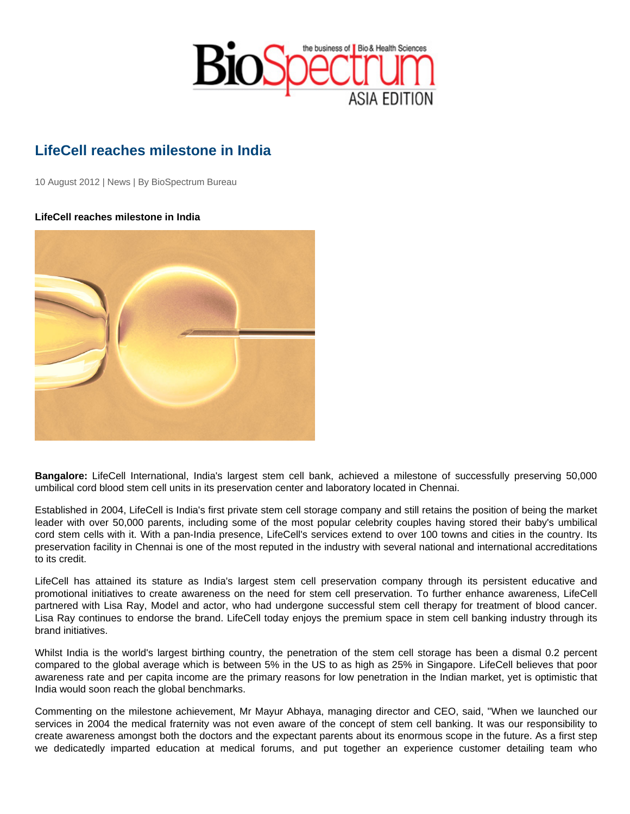## LifeCell reaches milestone in India

10 August 2012 | News | By BioSpectrum Bureau

LifeCell reaches milestone in India

Bangalore: LifeCell International, India's largest stem cell bank, achieved a milestone of successfully preserving 50,000 umbilical cord blood stem cell units in its preservation center and laboratory located in Chennai.

Established in 2004, LifeCell is India's first private stem cell storage company and still retains the position of being the market leader with over 50,000 parents, including some of the most popular celebrity couples having stored their baby's umbilical cord stem cells with it. With a pan-India presence, LifeCell's services extend to over 100 towns and cities in the country. Its preservation facility in Chennai is one of the most reputed in the industry with several national and international accreditations to its credit.

LifeCell has attained its stature as India's largest stem cell preservation company through its persistent educative and promotional initiatives to create awareness on the need for stem cell preservation. To further enhance awareness, LifeCell partnered with Lisa Ray, Model and actor, who had undergone successful stem cell therapy for treatment of blood cancer. Lisa Ray continues to endorse the brand. LifeCell today enjoys the premium space in stem cell banking industry through its brand initiatives.

Whilst India is the world's largest birthing country, the penetration of the stem cell storage has been a dismal 0.2 percent compared to the global average which is between 5% in the US to as high as 25% in Singapore. LifeCell believes that poor awareness rate and per capita income are the primary reasons for low penetration in the Indian market, yet is optimistic that India would soon reach the global benchmarks.

Commenting on the milestone achievement, Mr Mayur Abhaya, managing director and CEO, said, "When we launched our services in 2004 the medical fraternity was not even aware of the concept of stem cell banking. It was our responsibility to create awareness amongst both the doctors and the expectant parents about its enormous scope in the future. As a first step we dedicatedly imparted education at medical forums, and put together an experience customer detailing team who